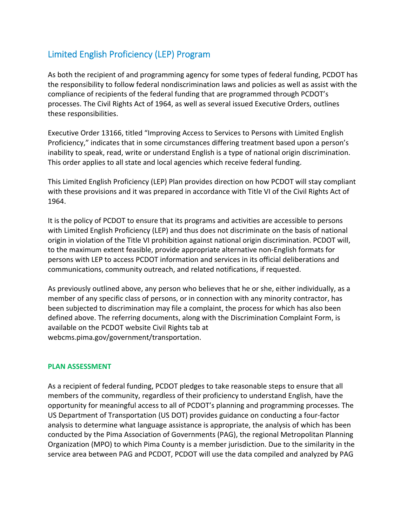# Limited English Proficiency (LEP) Program

As both the recipient of and programming agency for some types of federal funding, PCDOT has the responsibility to follow federal nondiscrimination laws and policies as well as assist with the compliance of recipients of the federal funding that are programmed through PCDOT's processes. The Civil Rights Act of 1964, as well as several issued Executive Orders, outlines these responsibilities.

Executive Order 13166, titled "Improving Access to Services to Persons with Limited English Proficiency," indicates that in some circumstances differing treatment based upon a person's inability to speak, read, write or understand English is a type of national origin discrimination. This order applies to all state and local agencies which receive federal funding.

This Limited English Proficiency (LEP) Plan provides direction on how PCDOT will stay compliant with these provisions and it was prepared in accordance with Title VI of the Civil Rights Act of 1964.

It is the policy of PCDOT to ensure that its programs and activities are accessible to persons with Limited English Proficiency (LEP) and thus does not discriminate on the basis of national origin in violation of the Title VI prohibition against national origin discrimination. PCDOT will, to the maximum extent feasible, provide appropriate alternative non‐English formats for persons with LEP to access PCDOT information and services in its official deliberations and communications, community outreach, and related notifications, if requested.

As previously outlined above, any person who believes that he or she, either individually, as a member of any specific class of persons, or in connection with any minority contractor, has been subjected to discrimination may file a complaint, the process for which has also been defined above. The referring documents, along with the Discrimination Complaint Form, is available on the PCDOT website Civil Rights tab at webcms.pima.gov/government/transportation.

#### **PLAN ASSESSMENT**

As a recipient of federal funding, PCDOT pledges to take reasonable steps to ensure that all members of the community, regardless of their proficiency to understand English, have the opportunity for meaningful access to all of PCDOT's planning and programming processes. The US Department of Transportation (US DOT) provides guidance on conducting a four‐factor analysis to determine what language assistance is appropriate, the analysis of which has been conducted by the Pima Association of Governments (PAG), the regional Metropolitan Planning Organization (MPO) to which Pima County is a member jurisdiction. Due to the similarity in the service area between PAG and PCDOT, PCDOT will use the data compiled and analyzed by PAG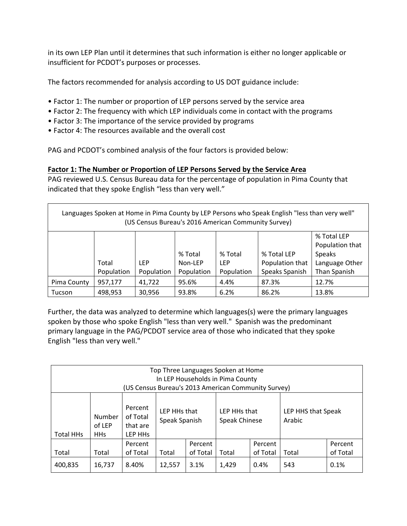in its own LEP Plan until it determines that such information is either no longer applicable or insufficient for PCDOT's purposes or processes.

The factors recommended for analysis according to US DOT guidance include:

- Factor 1: The number or proportion of LEP persons served by the service area
- Factor 2: The frequency with which LEP individuals come in contact with the programs
- Factor 3: The importance of the service provided by programs
- Factor 4: The resources available and the overall cost

PAG and PCDOT's combined analysis of the four factors is provided below:

### **Factor 1: The Number or Proportion of LEP Persons Served by the Service Area**

PAG reviewed U.S. Census Bureau data for the percentage of population in Pima County that indicated that they spoke English "less than very well."

| Languages Spoken at Home in Pima County by LEP Persons who Speak English "less than very well"<br>(US Census Bureau's 2016 American Community Survey) |            |            |            |            |                 |                 |  |  |  |  |  |
|-------------------------------------------------------------------------------------------------------------------------------------------------------|------------|------------|------------|------------|-----------------|-----------------|--|--|--|--|--|
|                                                                                                                                                       |            |            |            |            |                 | % Total LEP     |  |  |  |  |  |
|                                                                                                                                                       |            |            |            |            |                 | Population that |  |  |  |  |  |
|                                                                                                                                                       |            |            | % Total    | % Total    | % Total LEP     | <b>Speaks</b>   |  |  |  |  |  |
|                                                                                                                                                       | Total      | LEP        | Non-LEP    | LEP        | Population that | Language Other  |  |  |  |  |  |
|                                                                                                                                                       | Population | Population | Population | Population | Speaks Spanish  | Than Spanish    |  |  |  |  |  |
| Pima County                                                                                                                                           | 957,177    | 41,722     | 95.6%      | 4.4%       | 87.3%           | 12.7%           |  |  |  |  |  |
| Tucson                                                                                                                                                | 498,953    | 30.956     | 93.8%      | 6.2%       | 86.2%           | 13.8%           |  |  |  |  |  |

Further, the data was analyzed to determine which languages(s) were the primary languages spoken by those who spoke English "less than very well." Spanish was the predominant primary language in the PAG/PCDOT service area of those who indicated that they spoke English "less than very well."

| Top Three Languages Spoken at Home<br>In LEP Households in Pima County<br>(US Census Bureau's 2013 American Community Survey) |                                |                                            |                               |                     |                               |                     |                              |          |  |  |  |
|-------------------------------------------------------------------------------------------------------------------------------|--------------------------------|--------------------------------------------|-------------------------------|---------------------|-------------------------------|---------------------|------------------------------|----------|--|--|--|
| <b>Total HHs</b>                                                                                                              | Number<br>of LEP<br><b>HHs</b> | Percent<br>of Total<br>that are<br>LEP HHS | LEP HHs that<br>Speak Spanish |                     | LEP HHs that<br>Speak Chinese |                     | LEP HHS that Speak<br>Arabic |          |  |  |  |
|                                                                                                                               |                                | Percent<br>of Total                        |                               | Percent<br>of Total |                               | Percent<br>of Total | Total                        | Percent  |  |  |  |
| Total                                                                                                                         | Total                          |                                            | Total                         |                     | Total                         |                     |                              | of Total |  |  |  |
| 400,835                                                                                                                       | 16,737                         | 8.40%                                      | 12,557                        | 3.1%                | 1,429                         | 0.4%                | 543                          | 0.1%     |  |  |  |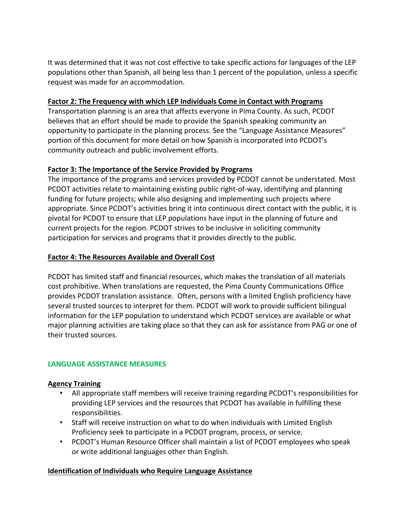It was determined that it was not cost effective to take specific actions for languages of the LEP populations other than Spanish, all being less than 1 percent of the population, unless a specific request was made for an accommodation.

## **Factor 2: The Frequency with which LEP Individuals Come in Contact with Programs**

Transportation planning is an area that affects everyone in Pima County. As such, PCDOT believes that an effort should be made to provide the Spanish speaking community an opportunity to participate in the planning process. See the "Language Assistance Measures" portion of this document for more detail on how Spanish is incorporated into PCDOT's community outreach and public involvement efforts.

### **Factor 3: The Importance of the Service Provided by Programs**

The importance of the programs and services provided by PCDOT cannot be understated. Most PCDOT activities relate to maintaining existing public right‐of‐way, identifying and planning funding for future projects; while also designing and implementing such projects where appropriate. Since PCDOT's activities bring it into continuous direct contact with the public, it is pivotal for PCDOT to ensure that LEP populations have input in the planning of future and current projects for the region. PCDOT strives to be inclusive in soliciting community participation for services and programs that it provides directly to the public.

### **Factor 4: The Resources Available and Overall Cost**

PCDOT has limited staff and financial resources, which makes the translation of all materials cost prohibitive. When translations are requested, the Pima County Communications Office provides PCDOT translation assistance. Often, persons with a limited English proficiency have several trusted sources to interpret for them. PCDOT will work to provide sufficient bilingual information for the LEP population to understand which PCDOT services are available or what major planning activities are taking place so that they can ask for assistance from PAG or one of their trusted sources.

# **LANGUAGE ASSISTANCE MEASURES**

#### **Agency Training**

- All appropriate staff members will receive training regarding PCDOT's responsibilities for providing LEP services and the resources that PCDOT has available in fulfilling these responsibilities.
- Staff will receive instruction on what to do when individuals with Limited English Proficiency seek to participate in a PCDOT program, process, or service.
- PCDOT's Human Resource Officer shall maintain a list of PCDOT employees who speak or write additional languages other than English.

#### **Identification of Individuals who Require Language Assistance**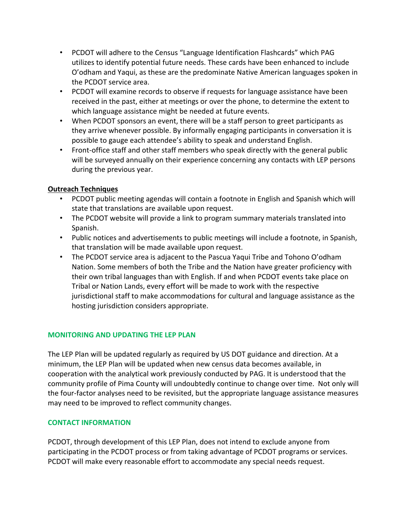- PCDOT will adhere to the Census "Language Identification Flashcards" which PAG utilizes to identify potential future needs. These cards have been enhanced to include O'odham and Yaqui, as these are the predominate Native American languages spoken in the PCDOT service area.
- PCDOT will examine records to observe if requests for language assistance have been received in the past, either at meetings or over the phone, to determine the extent to which language assistance might be needed at future events.
- When PCDOT sponsors an event, there will be a staff person to greet participants as they arrive whenever possible. By informally engaging participants in conversation it is possible to gauge each attendee's ability to speak and understand English.
- Front-office staff and other staff members who speak directly with the general public will be surveyed annually on their experience concerning any contacts with LEP persons during the previous year.

# **Outreach Techniques**

- PCDOT public meeting agendas will contain a footnote in English and Spanish which will state that translations are available upon request.
- The PCDOT website will provide a link to program summary materials translated into Spanish.
- Public notices and advertisements to public meetings will include a footnote, in Spanish, that translation will be made available upon request.
- The PCDOT service area is adjacent to the Pascua Yaqui Tribe and Tohono O'odham Nation. Some members of both the Tribe and the Nation have greater proficiency with their own tribal languages than with English. If and when PCDOT events take place on Tribal or Nation Lands, every effort will be made to work with the respective jurisdictional staff to make accommodations for cultural and language assistance as the hosting jurisdiction considers appropriate.

# **MONITORING AND UPDATING THE LEP PLAN**

The LEP Plan will be updated regularly as required by US DOT guidance and direction. At a minimum, the LEP Plan will be updated when new census data becomes available, in cooperation with the analytical work previously conducted by PAG. It is understood that the community profile of Pima County will undoubtedly continue to change over time. Not only will the four‐factor analyses need to be revisited, but the appropriate language assistance measures may need to be improved to reflect community changes.

# **CONTACT INFORMATION**

PCDOT, through development of this LEP Plan, does not intend to exclude anyone from participating in the PCDOT process or from taking advantage of PCDOT programs or services. PCDOT will make every reasonable effort to accommodate any special needs request.